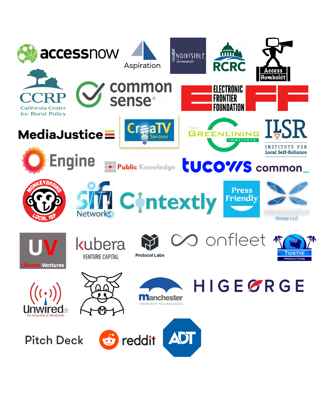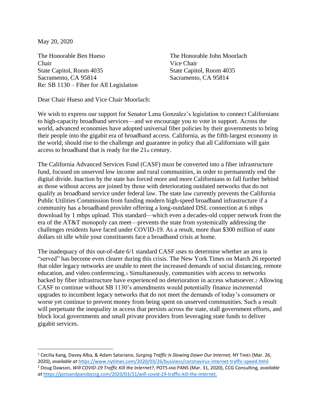May 20, 2020

The Honorable Ben Hueso The Honorable John Moorlach Chair Vice Chair State Capitol, Room 4035 State Capitol, Room 4035 Sacramento, CA 95814 Sacramento, CA 95814 Re: SB 1130 – Fiber for All Legislation

Dear Chair Hueso and Vice Chair Moorlach:

We wish to express our support for Senator Lena Gonzalez's legislation to connect Californians to high-capacity broadband services—and we encourage you to vote in support. Across the world, advanced economies have adopted universal fiber policies by their governments to bring their people into the gigabit era of broadband access. California, as the fifth-largest economy in the world, should rise to the challenge and guarantee in policy that all Californians will gain access to broadband that is ready for the 21st century.

The California Advanced Services Fund (CASF) must be converted into a fiber infrastructure fund, focused on unserved low income and rural communities, in order to permanently end the digital divide. Inaction by the state has forced more and more Californians to fall further behind as those without access are joined by those with deteriorating outdated networks that do not qualify as broadband service under federal law. The state law currently prevents the California Public Utilities Commission from funding modern high-speed broadband infrastructure if a community has a broadband provider offering a long-outdated DSL connection at 6 mbps download by 1 mbps upload. This standard—which even a decades-old copper network from the era of the AT&T monopoly can meet—prevents the state from systemically addressing the challenges residents have faced under COVID-19. As a result, more than \$300 million of state dollars sit idle while your constituents face a broadband crisis at home.

The inadequacy of this out-of-date 6/1 standard CASF uses to determine whether an area is "served" has become even clearer during this crisis. The New York Times on March 26 reported that older legacy networks are unable to meet the increased demands of social distancing, remote education, and video conferencing.<sup>1</sup> Simultaneously, communities with access to networks backed by fiber infrastructure have experienced no deterioration in access whatsoever.<sup>2</sup> Allowing CASF to continue without SB 1130's amendments would potentially finance incremental upgrades to incumbent legacy networks that do not meet the demands of today's consumers or worse yet continue to prevent money from being spent on unserved communities. Such a result will perpetuate the inequality in access that persists across the state, stall government efforts, and block local governments and small private providers from leveraging state funds to deliver gigabit services.

<sup>1</sup> Cecilia Kang, Davey Alba, & Adam Satariano, *Surging Traffic Is Slowing Down Our Internet,* NY TIMES (Mar. 26, 2020), *available at* [https://www.nytimes.com/2020/03/26/business/coronavirus-internet-traffic-speed.html.](https://www.nytimes.com/2020/03/26/business/coronavirus-internet-traffic-speed.html)

<sup>2</sup> Doug Dawson, *Will COVID-19 Traffic Kill the Internet?*, POTS AND PANS (Mar. 31, 2020), CCG Consulting*, available at* <https://potsandpansbyccg.com/2020/03/31/will-covid-19-traffic-kill-the-internet.>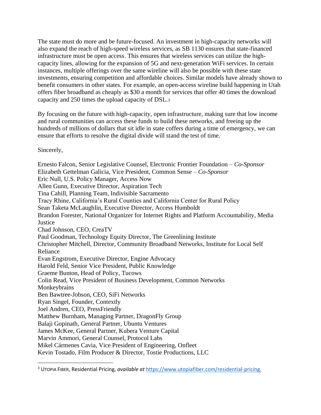The state must do more and be future-focused. An investment in high-capacity networks will also expand the reach of high-speed wireless services, as SB 1130 ensures that state-financed infrastructure must be open access. This ensures that wireless services can utilize the highcapacity lines, allowing for the expansion of 5G and next-generation WiFi services. In certain instances, multiple offerings over the same wireline will also be possible with these state investments, ensuring competition and affordable choices. Similar models have already shown to benefit consumers in other states. For example, an open-access wireline build happening in Utah offers fiber broadband as cheaply as \$30 a month for services that offer 40 times the download capacity and 250 times the upload capacity of DSL.<sup>3</sup>

By focusing on the future with high-capacity, open infrastructure, making sure that low income and rural communities can access these funds to build these networks, and freeing up the hundreds of millions of dollars that sit idle in state coffers during a time of emergency, we can ensure that efforts to resolve the digital divide will stand the test of time.

Sincerely,

Ernesto Falcon, Senior Legislative Counsel, Electronic Frontier Foundation – *Co-Sponsor* Elizabeth Gettelman Galicia, Vice President, Common Sense – *Co-Sponsor* Eric Null, U.S. Policy Manager, Access Now Allen Gunn, Executive Director, Aspiration Tech Tina Cahill, Planning Team, Indivisible Sacramento Tracy Rhine, California's Rural Counties and California Center for Rural Policy Sean Taketa McLaughlin, Executive Director, Access Humboldt Brandon Forester, National Organizer for Internet Rights and Platform Accountability, Media **Justice** Chad Johnson, CEO, CreaTV Paul Goodman, Technology Equity Director, The Greenlining Institute Christopher Mitchell, Director, Community Broadband Networks, Institute for Local Self Reliance Evan Engstrom, Executive Director, Engine Advocacy Harold Feld, Senior Vice President, Public Knowledge Graeme Bunton, Head of Policy, Tucows Colin Read, Vice President of Business Development, Common Networks Monkeybrains Ben Bawtree-Jobson, CEO, SiFi Networks Ryan Singel, Founder, Contextly Joel Andren, CEO, PressFriendly Matthew Burnham, Managing Partner, DragonFly Group Balaji Gopinath, General Partner, Ubuntu Ventures James McKee, General Partner, Kubera Venture Capital Marvin Ammori, General Counsel, Protocol Labs Mikel Cármenes Cavia, Vice President of Engineering, Onfleet Kevin Tostado, Film Producer & Director, Tostie Productions, LLC

<sup>3</sup> UTOPIA FIBER, Residential Pricing, *available at* <https://www.utopiafiber.com/residential-pricing.>